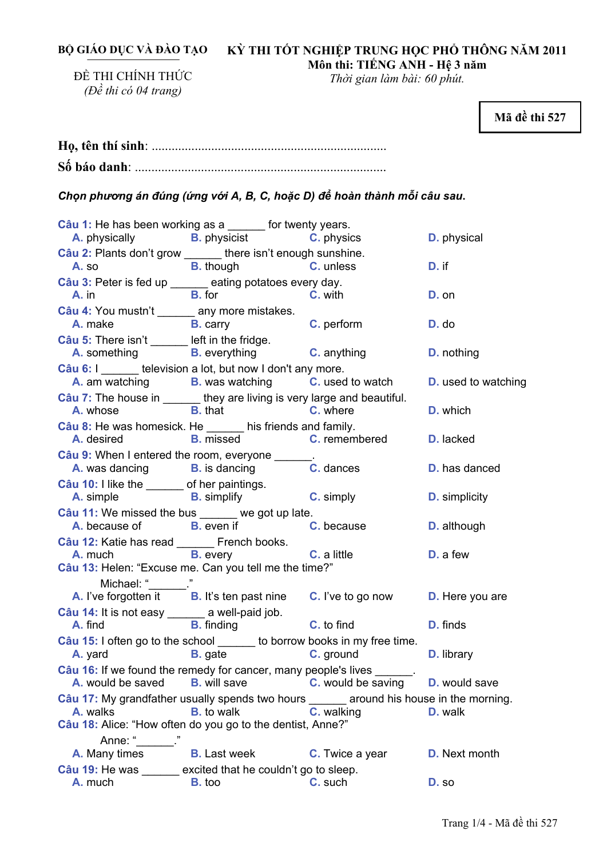**BỘ GIÁO DỤC VÀ ĐÀO TẠO** 

# **KỲ THI TỐT NGHIỆP TRUNG HỌC PHỔ THÔNG NĂM 2011 Môn thi: TIẾNG ANH - Hệ 3 năm**

ĐỀ THI CHÍNH THỨC *(Đề thi có 04 trang)* 

*Thời gian làm bài: 60 phút.* 

**Mã đề thi 527** 

*Chọn phương án đúng (ứng với A, B, C, hoặc D) để hoàn thành mỗi câu sau***.** 

|                                                                                                                                                                         | Câu 1: He has been working as a ______ for twenty years.<br>A. physically <b>B.</b> physicist <b>C.</b> physics <b>D.</b> physical |                        |                      |
|-------------------------------------------------------------------------------------------------------------------------------------------------------------------------|------------------------------------------------------------------------------------------------------------------------------------|------------------------|----------------------|
| Câu 2: Plants don't grow ______ there isn't enough sunshine.                                                                                                            |                                                                                                                                    |                        |                      |
|                                                                                                                                                                         | A. so B. though C. unless                                                                                                          |                        | D. if                |
| Câu 3: Peter is fed up _____ eating potatoes every day.                                                                                                                 |                                                                                                                                    |                        |                      |
| $A.$ in                                                                                                                                                                 | <b>B.</b> for <b>C.</b> with                                                                                                       |                        | D. on                |
| Câu 4: You mustn't _______ any more mistakes.<br><b>A.</b> make <b>B.</b> carry <b>C.</b> perform                                                                       |                                                                                                                                    |                        | D. do                |
| Câu 5: There isn't ______ left in the fridge.                                                                                                                           | <b>A.</b> something <b>B.</b> everything <b>C.</b> anything                                                                        |                        | <b>D.</b> nothing    |
| Câu 6: I _______ television a lot, but now I don't any more.                                                                                                            |                                                                                                                                    |                        |                      |
|                                                                                                                                                                         | A. am watching B. was watching C. used to watch D. used to watching                                                                |                        |                      |
| Câu 7: The house in ______ they are living is very large and beautiful.<br><b>A.</b> whose <b>B.</b> that <b>C.</b> where                                               |                                                                                                                                    |                        | D. which             |
| Câu 8: He was homesick. He ______ his friends and family.                                                                                                               |                                                                                                                                    |                        |                      |
|                                                                                                                                                                         | A. desired <b>B.</b> missed <b>C. remembered</b>                                                                                   |                        | D. lacked            |
| Câu 9: When I entered the room, everyone ________                                                                                                                       | A. was dancing <b>B.</b> is dancing <b>C.</b> dances                                                                               |                        | <b>D.</b> has danced |
| Câu 10: I like the _______ of her paintings.<br><b>A.</b> simple <b>B.</b> simplify <b>C.</b> simply                                                                    |                                                                                                                                    |                        | <b>D.</b> simplicity |
| Câu 11: We missed the bus _____ we got up late.                                                                                                                         |                                                                                                                                    |                        |                      |
|                                                                                                                                                                         | A. because of B. even if C. because D. although                                                                                    |                        |                      |
|                                                                                                                                                                         |                                                                                                                                    |                        |                      |
|                                                                                                                                                                         |                                                                                                                                    |                        |                      |
|                                                                                                                                                                         | Câu 12: Katie has read French books.<br><b>A.</b> much <b>B.</b> every <b>C.</b> a little                                          |                        | D. a few             |
| Câu 13: Helen: "Excuse me. Can you tell me the time?"                                                                                                                   |                                                                                                                                    |                        |                      |
|                                                                                                                                                                         |                                                                                                                                    |                        |                      |
| Michael: " $\frac{1}{\sqrt{1-\frac{1}{n}}}$ "<br><b>A.</b> I've forgotten it $\frac{1}{n}$ <b>B.</b> It's ten past nine <b>C.</b> I've to go now <b>D.</b> Here you are |                                                                                                                                    |                        |                      |
|                                                                                                                                                                         |                                                                                                                                    |                        |                      |
| Câu 14: It is not easy ________ a well-paid job.<br><b>A.</b> find <b>B.</b> finding <b>C.</b> to find <b>D.</b> finds                                                  |                                                                                                                                    |                        |                      |
| Câu 15: I often go to the school ______ to borrow books in my free time.<br><b>A.</b> yard <b>B.</b> gate <b>C.</b> ground <b>D.</b> library                            |                                                                                                                                    |                        |                      |
|                                                                                                                                                                         |                                                                                                                                    |                        |                      |
| Câu 16: If we found the remedy for cancer, many people's lives ______.<br>A. would be saved                                                                             | <b>B.</b> will save                                                                                                                | C. would be saving     | <b>D.</b> would save |
| Câu 17: My grandfather usually spends two hours ______ around his house in the morning.                                                                                 |                                                                                                                                    |                        |                      |
| A. walks                                                                                                                                                                | <b>B.</b> to walk                                                                                                                  | C. walking             | D. walk              |
| Câu 18: Alice: "How often do you go to the dentist, Anne?"                                                                                                              |                                                                                                                                    |                        |                      |
| Anne: "                                                                                                                                                                 |                                                                                                                                    |                        |                      |
| A. Many times                                                                                                                                                           | <b>B.</b> Last week                                                                                                                | <b>C.</b> Twice a year | <b>D.</b> Next month |
| Câu 19: He was ______ excited that he couldn't go to sleep.<br>A. much                                                                                                  | <b>B.</b> too                                                                                                                      | C. such                | D. so                |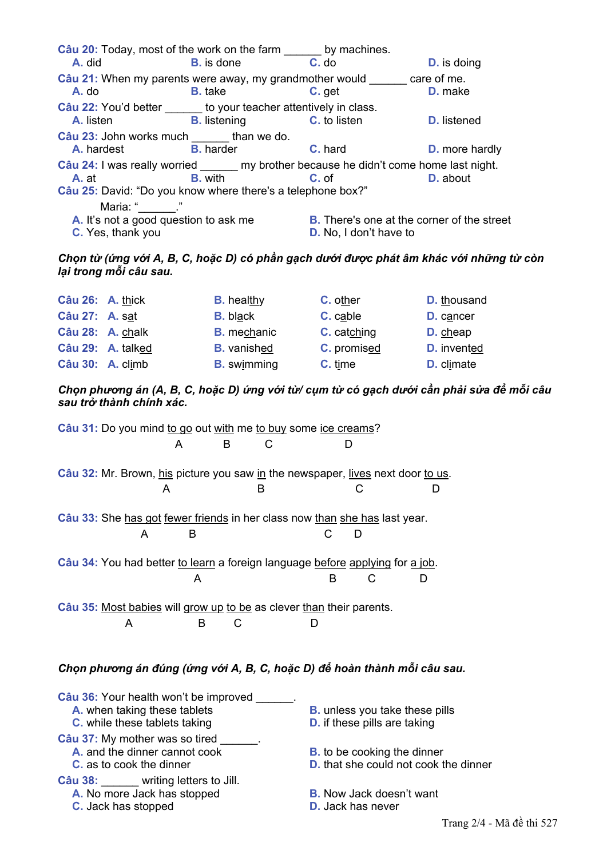| Câu 20: Today, most of the work on the farm by machines.<br>A. did                     | <b>B.</b> is done                       | $C.$ do                                           | <b>D.</b> is doing    |
|----------------------------------------------------------------------------------------|-----------------------------------------|---------------------------------------------------|-----------------------|
| Câu 21: When my parents were away, my grandmother would care of me.                    |                                         |                                                   |                       |
| A. do                                                                                  | <b>B.</b> take                          | C. get                                            | D. make               |
| Câu 22: You'd better ______ to your teacher attentively in class.                      |                                         |                                                   |                       |
| A. listen                                                                              | <b>B.</b> listening <b>C.</b> to listen |                                                   | <b>D.</b> listened    |
| Câu 23: John works much _______ than we do.                                            |                                         |                                                   |                       |
| <b>A.</b> hardest <b>B.</b> harder                                                     |                                         | <b>C.</b> hard                                    | <b>D.</b> more hardly |
| Câu 24: I was really worried ______ my brother because he didn't come home last night. |                                         |                                                   |                       |
| A. at                                                                                  | <b>B.</b> with                          | C. of                                             | D. about              |
| Câu 25: David: "Do you know where there's a telephone box?"                            |                                         |                                                   |                       |
| Maria: " "                                                                             |                                         |                                                   |                       |
| A. It's not a good question to ask me                                                  |                                         | <b>B.</b> There's one at the corner of the street |                       |
| C. Yes, thank you                                                                      |                                         | <b>D.</b> No, I don't have to                     |                       |

## Chon từ (ứng với A, B, C, hoặc D) có phần gạch dưới được phát âm khác với những từ còn lai trong mỗi câu sau.

| Câu 26: A. thick |                   | <b>B.</b> healthy  | C. other    | <b>D.</b> thousand |
|------------------|-------------------|--------------------|-------------|--------------------|
| Câu 27: A. sat   |                   | <b>B.</b> black    | C. cable    | D. cancer          |
| Câu 28: A. chalk |                   | <b>B.</b> mechanic | C. catching | D. cheap           |
|                  | Câu 29: A. talked | <b>B.</b> vanished | C. promised | <b>D.</b> invented |
| Câu 30: A. climb |                   | <b>B.</b> swimming | C. time     | <b>D.</b> climate  |

Chọn phương án (A, B, C, hoặc D) ứng với từ/ cụm từ có gạch dưới cần phải sửa để mỗi câu sau trở thành chính xác.

Câu 31: Do you mind to go out with me to buy some ice creams?  $\overline{A}$ B  $\mathcal{C}$ D Câu 32: Mr. Brown, his picture you saw in the newspaper, lives next door to us.  $\mathsf{A}$  $\mathsf{R}$  $\mathsf{C}$  $\mathsf{D}$ Câu 33: She has got fewer friends in her class now than she has last year.  $\mathsf{B}$  $\mathsf{C}$  $\mathsf{D}$  $\overline{A}$ Câu 34: You had better to learn a foreign language before applying for a job.  $\mathcal{C}$ D A B Câu 35: Most babies will grow up to be as clever than their parents.  $\overline{A}$ B  $\mathsf{C}$  $\mathsf{D}$ Chọn phương án đúng (ứng với A, B, C, hoặc D) để hoàn thành mỗi câu sau.

| Câu 36: Your health won't be improved   |                                              |
|-----------------------------------------|----------------------------------------------|
| A. when taking these tablets            | <b>B.</b> unless you take these pills        |
| C. while these tablets taking           | <b>D.</b> if these pills are taking          |
| Câu 37: My mother was so tired          |                                              |
| A. and the dinner cannot cook           | <b>B.</b> to be cooking the dinner           |
| <b>C.</b> as to cook the dinner         | <b>D.</b> that she could not cook the dinner |
| <b>Câu 38:</b> writing letters to Jill. |                                              |
| A. No more Jack has stopped             | <b>B.</b> Now Jack doesn't want              |
| C. Jack has stopped                     | <b>D.</b> Jack has never                     |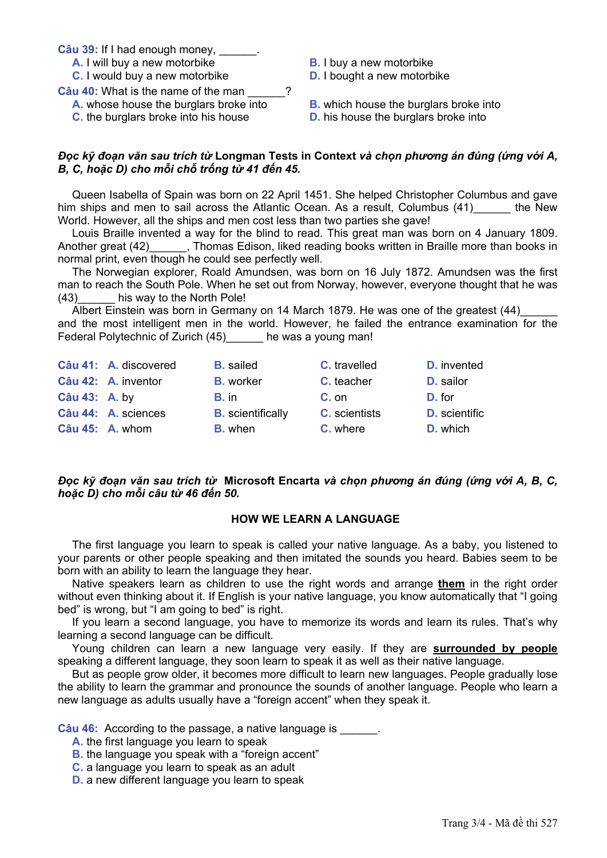Câu 39: If I had enough money,

- A. I will buy a new motorbike
- C. I would buy a new motorbike

Câu 40: What is the name of the man

- A. whose house the burglars broke into
- C. the burglars broke into his house
- **B.** I buy a new motorbike

**D.** I bought a new motorbike

**B.** which house the burglars broke into **D.** his house the burglars broke into

### Đọc kỹ đoạn văn sau trích từ Longman Tests in Context và chon phương án đúng (ứng với A, B. C. hoặc D) cho mỗi chỗ trống từ 41 đến 45.

 $\gamma$ 

Queen Isabella of Spain was born on 22 April 1451. She helped Christopher Columbus and gave him ships and men to sail across the Atlantic Ocean. As a result, Columbus (41) the New World. However, all the ships and men cost less than two parties she gave!

Louis Braille invented a way for the blind to read. This great man was born on 4 January 1809. Another great (42)\_\_\_\_\_\_\_, Thomas Edison, liked reading books written in Braille more than books in normal print, even though he could see perfectly well.

The Norwegian explorer, Roald Amundsen, was born on 16 July 1872. Amundsen was the first man to reach the South Pole. When he set out from Norway, however, everyone thought that he was  $(43)$ his way to the North Pole!

Albert Einstein was born in Germany on 14 March 1879. He was one of the greatest (44) and the most intelligent men in the world. However, he failed the entrance examination for the Federal Polytechnic of Zurich (45) he was a young man!

|               | Câu 41: A. discovered | <b>B.</b> sailed         | <b>C.</b> travelled  | <b>D.</b> invented   |
|---------------|-----------------------|--------------------------|----------------------|----------------------|
|               | Câu 42: A. inventor   | <b>B.</b> worker         | C. teacher           | D. sailor            |
| Câu 43: A. by |                       | B. in                    | $C.$ on              | D. for               |
|               | Câu 44: A. sciences   | <b>B.</b> scientifically | <b>C.</b> scientists | <b>D.</b> scientific |
|               | Câu 45: A. whom       | <b>B.</b> when           | C. where             | D. which             |

## Đọc kỹ đoạn văn sau trích từ Microsoft Encarta và chọn phương án đúng (ứng với A. B. C. hoặc D) cho mỗi câu từ 46 đến 50.

#### **HOW WE LEARN A LANGUAGE**

The first language you learn to speak is called your native language. As a baby, you listened to your parents or other people speaking and then imitated the sounds you heard. Babies seem to be born with an ability to learn the language they hear.

Native speakers learn as children to use the right words and arrange them in the right order without even thinking about it. If English is your native language, you know automatically that "I going bed" is wrong, but "I am going to bed" is right.

If you learn a second language, you have to memorize its words and learn its rules. That's why learning a second language can be difficult.

Young children can learn a new language very easily. If they are surrounded by people speaking a different language, they soon learn to speak it as well as their native language.

But as people grow older, it becomes more difficult to learn new languages. People gradually lose the ability to learn the grammar and pronounce the sounds of another language. People who learn a new language as adults usually have a "foreign accent" when they speak it.

Câu 46: According to the passage, a native language is

- A. the first language you learn to speak
- **B.** the language you speak with a "foreign accent"
- C. a language you learn to speak as an adult
- D. a new different language you learn to speak